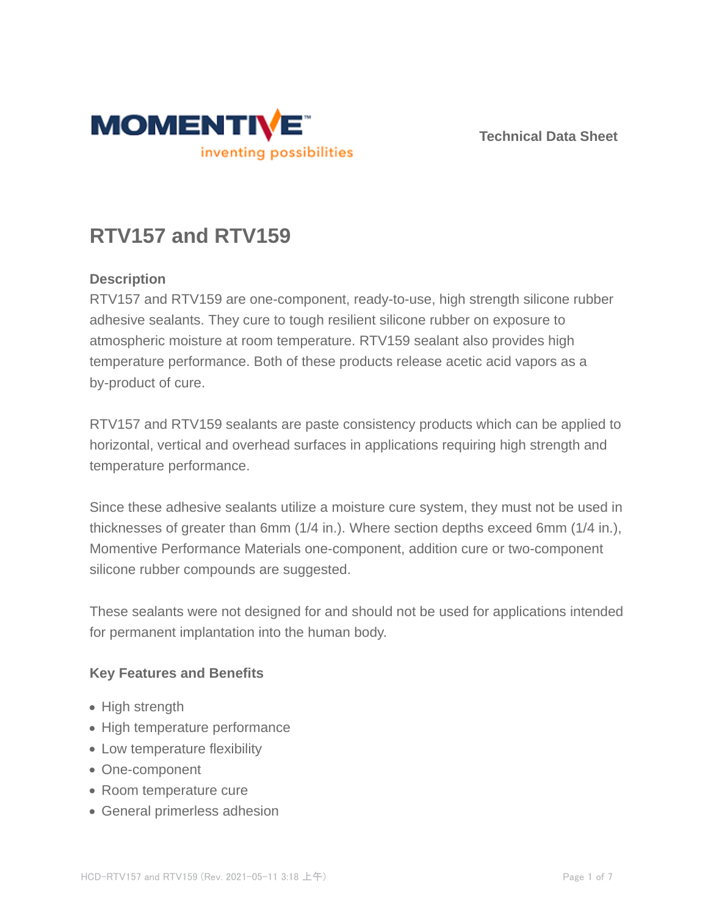

**Technical Data Sheet**

# **RTV157 and RTV159**

# **Description**

RTV157 and RTV159 are one-component, ready-to-use, high strength silicone rubber adhesive sealants. They cure to tough resilient silicone rubber on exposure to atmospheric moisture at room temperature. RTV159 sealant also provides high temperature performance. Both of these products release acetic acid vapors as a by-product of cure.

RTV157 and RTV159 sealants are paste consistency products which can be applied to horizontal, vertical and overhead surfaces in applications requiring high strength and temperature performance.

Since these adhesive sealants utilize a moisture cure system, they must not be used in thicknesses of greater than 6mm (1/4 in.). Where section depths exceed 6mm (1/4 in.), Momentive Performance Materials one-component, addition cure or two-component silicone rubber compounds are suggested.

These sealants were not designed for and should not be used for applications intended for permanent implantation into the human body.

## **Key Features and Benefits**

- High strength
- High temperature performance
- Low temperature flexibility
- One-component
- Room temperature cure
- General primerless adhesion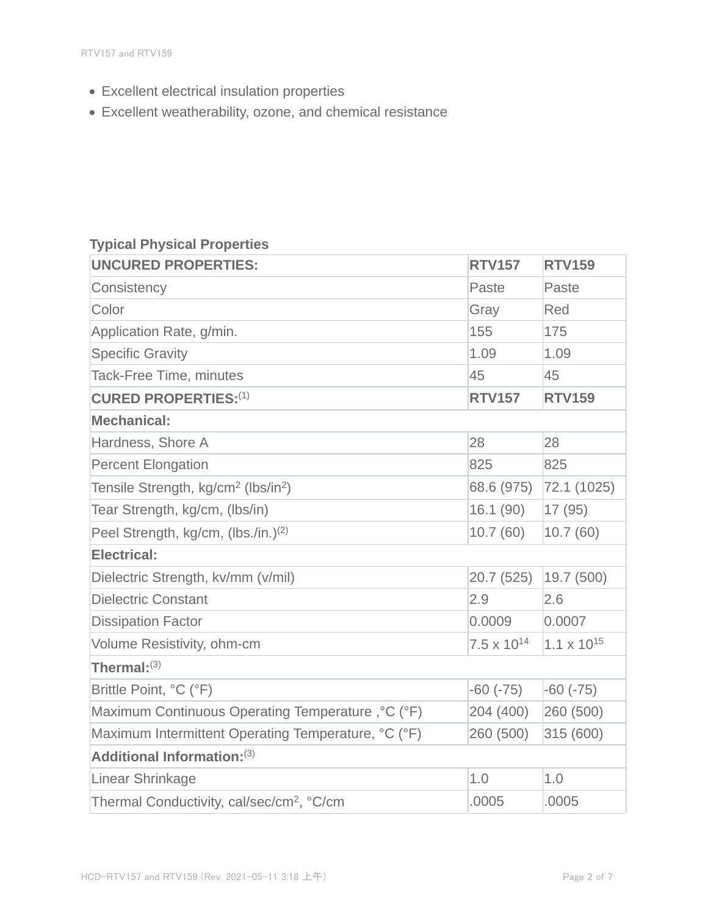- Excellent electrical insulation properties
- Excellent weatherability, ozone, and chemical resistance

# **Typical Physical Properties**

| <b>UNCURED PROPERTIES:</b>                                  | <b>RTV157</b>        | <b>RTV159</b>        |  |  |
|-------------------------------------------------------------|----------------------|----------------------|--|--|
| Consistency                                                 | Paste                | Paste                |  |  |
| Color                                                       | Gray                 | Red                  |  |  |
| Application Rate, g/min.                                    | 155                  | 175                  |  |  |
| <b>Specific Gravity</b>                                     | 1.09                 | 1.09                 |  |  |
| <b>Tack-Free Time, minutes</b>                              | 45                   | 45                   |  |  |
| <b>CURED PROPERTIES:(1)</b>                                 | <b>RTV157</b>        | <b>RTV159</b>        |  |  |
| <b>Mechanical:</b>                                          |                      |                      |  |  |
| Hardness, Shore A                                           | 28                   | 28                   |  |  |
| <b>Percent Elongation</b>                                   | 825                  | 825                  |  |  |
| Tensile Strength, kg/cm <sup>2</sup> (lbs/in <sup>2</sup> ) | 68.6 (975)           | 72.1 (1025)          |  |  |
| Tear Strength, kg/cm, (lbs/in)                              | 16.1(90)             | 17 (95)              |  |  |
| Peel Strength, kg/cm, (lbs./in.) <sup>(2)</sup>             | 10.7(60)             | 10.7(60)             |  |  |
| <b>Electrical:</b>                                          |                      |                      |  |  |
| Dielectric Strength, kv/mm (v/mil)                          | 20.7 (525)           | 19.7 (500)           |  |  |
| <b>Dielectric Constant</b>                                  | 2.9                  | 2.6                  |  |  |
| <b>Dissipation Factor</b>                                   | 0.0009               | 0.0007               |  |  |
| Volume Resistivity, ohm-cm                                  | $7.5 \times 10^{14}$ | $1.1 \times 10^{15}$ |  |  |
| Thermal: $^{(3)}$                                           |                      |                      |  |  |
| Brittle Point, °C (°F)                                      | $-60(-75)$           | $-60(-75)$           |  |  |
| Maximum Continuous Operating Temperature, °C (°F)           | 204 (400)            | 260 (500)            |  |  |
| Maximum Intermittent Operating Temperature, °C (°F)         | 260 (500)            | 315 (600)            |  |  |
| Additional Information: (3)                                 |                      |                      |  |  |
| Linear Shrinkage                                            | 1.0                  | 1.0                  |  |  |
| Thermal Conductivity, cal/sec/cm <sup>2</sup> , °C/cm       | .0005                | .0005                |  |  |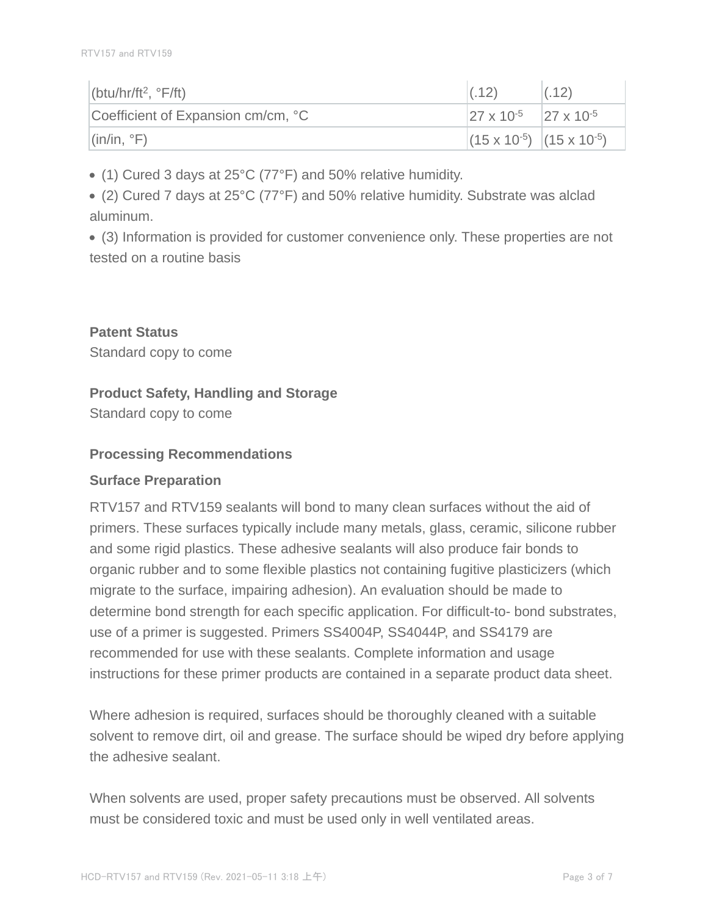| (btu/hr/ft <sup>2</sup> , $\degree$ F/ft)   | (0.12)                                                | (.12) |
|---------------------------------------------|-------------------------------------------------------|-------|
| Coefficient of Expansion cm/cm, °C          | $\sqrt{27 \times 10^{-5}}$ $\sqrt{27 \times 10^{-5}}$ |       |
| $\left  \right $ (in/in, $\left  \right $ ) | $(15 \times 10^{-5})$ $(15 \times 10^{-5})$           |       |

(1) Cured 3 days at 25°C (77°F) and 50% relative humidity.

(2) Cured 7 days at 25°C (77°F) and 50% relative humidity. Substrate was alclad aluminum.

(3) Information is provided for customer convenience only. These properties are not tested on a routine basis

**Patent Status** Standard copy to come

#### **Product Safety, Handling and Storage**

Standard copy to come

#### **Processing Recommendations**

#### **Surface Preparation**

RTV157 and RTV159 sealants will bond to many clean surfaces without the aid of primers. These surfaces typically include many metals, glass, ceramic, silicone rubber and some rigid plastics. These adhesive sealants will also produce fair bonds to organic rubber and to some flexible plastics not containing fugitive plasticizers (which migrate to the surface, impairing adhesion). An evaluation should be made to determine bond strength for each specific application. For difficult-to- bond substrates, use of a primer is suggested. Primers SS4004P, SS4044P, and SS4179 are recommended for use with these sealants. Complete information and usage instructions for these primer products are contained in a separate product data sheet.

Where adhesion is required, surfaces should be thoroughly cleaned with a suitable solvent to remove dirt, oil and grease. The surface should be wiped dry before applying the adhesive sealant.

When solvents are used, proper safety precautions must be observed. All solvents must be considered toxic and must be used only in well ventilated areas.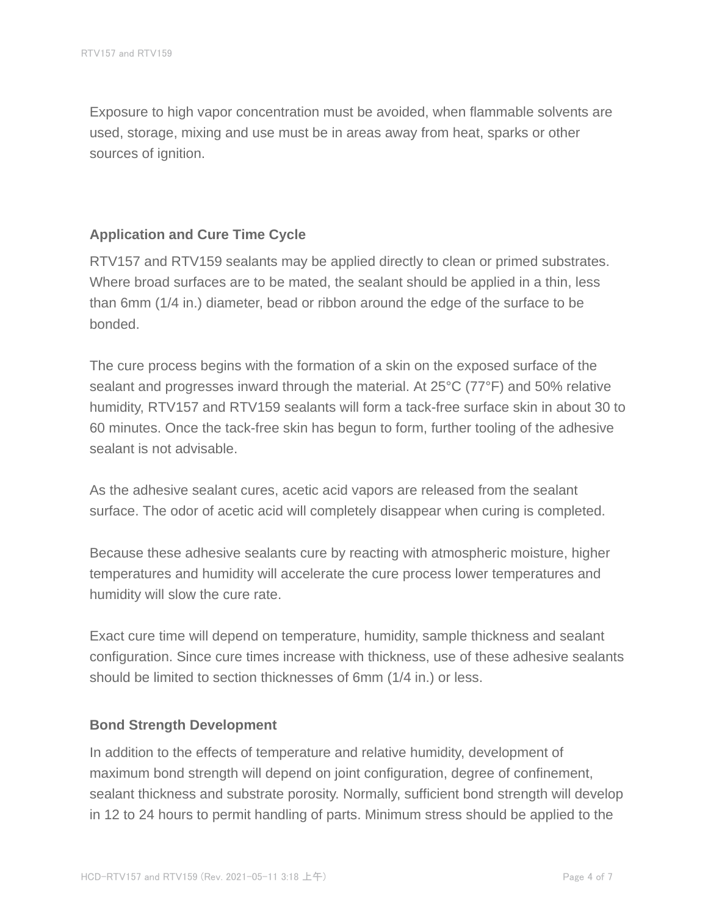Exposure to high vapor concentration must be avoided, when flammable solvents are used, storage, mixing and use must be in areas away from heat, sparks or other sources of ignition.

#### **Application and Cure Time Cycle**

RTV157 and RTV159 sealants may be applied directly to clean or primed substrates. Where broad surfaces are to be mated, the sealant should be applied in a thin, less than 6mm (1/4 in.) diameter, bead or ribbon around the edge of the surface to be bonded.

The cure process begins with the formation of a skin on the exposed surface of the sealant and progresses inward through the material. At 25°C (77°F) and 50% relative humidity, RTV157 and RTV159 sealants will form a tack-free surface skin in about 30 to 60 minutes. Once the tack-free skin has begun to form, further tooling of the adhesive sealant is not advisable.

As the adhesive sealant cures, acetic acid vapors are released from the sealant surface. The odor of acetic acid will completely disappear when curing is completed.

Because these adhesive sealants cure by reacting with atmospheric moisture, higher temperatures and humidity will accelerate the cure process lower temperatures and humidity will slow the cure rate.

Exact cure time will depend on temperature, humidity, sample thickness and sealant configuration. Since cure times increase with thickness, use of these adhesive sealants should be limited to section thicknesses of 6mm (1/4 in.) or less.

#### **Bond Strength Development**

In addition to the effects of temperature and relative humidity, development of maximum bond strength will depend on joint configuration, degree of confinement, sealant thickness and substrate porosity. Normally, sufficient bond strength will develop in 12 to 24 hours to permit handling of parts. Minimum stress should be applied to the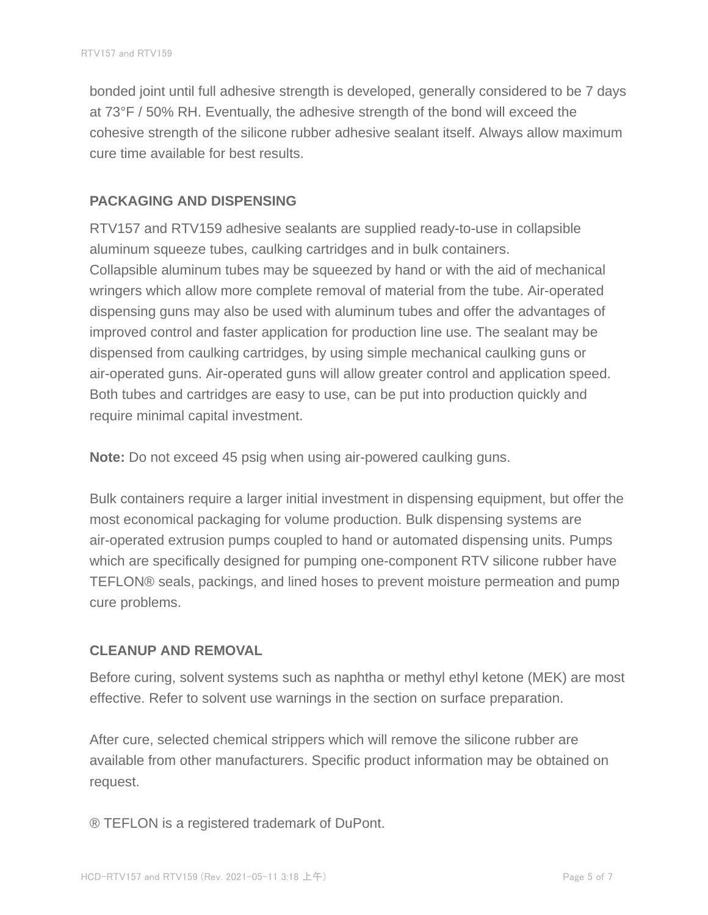bonded joint until full adhesive strength is developed, generally considered to be 7 days at 73°F / 50% RH. Eventually, the adhesive strength of the bond will exceed the cohesive strength of the silicone rubber adhesive sealant itself. Always allow maximum cure time available for best results.

#### **PACKAGING AND DISPENSING**

RTV157 and RTV159 adhesive sealants are supplied ready-to-use in collapsible aluminum squeeze tubes, caulking cartridges and in bulk containers. Collapsible aluminum tubes may be squeezed by hand or with the aid of mechanical wringers which allow more complete removal of material from the tube. Air-operated dispensing guns may also be used with aluminum tubes and offer the advantages of improved control and faster application for production line use. The sealant may be dispensed from caulking cartridges, by using simple mechanical caulking guns or air-operated guns. Air-operated guns will allow greater control and application speed. Both tubes and cartridges are easy to use, can be put into production quickly and require minimal capital investment.

**Note:** Do not exceed 45 psig when using air-powered caulking guns.

Bulk containers require a larger initial investment in dispensing equipment, but offer the most economical packaging for volume production. Bulk dispensing systems are air-operated extrusion pumps coupled to hand or automated dispensing units. Pumps which are specifically designed for pumping one-component RTV silicone rubber have TEFLON® seals, packings, and lined hoses to prevent moisture permeation and pump cure problems.

#### **CLEANUP AND REMOVAL**

Before curing, solvent systems such as naphtha or methyl ethyl ketone (MEK) are most effective. Refer to solvent use warnings in the section on surface preparation.

After cure, selected chemical strippers which will remove the silicone rubber are available from other manufacturers. Specific product information may be obtained on request.

® TEFLON is a registered trademark of DuPont.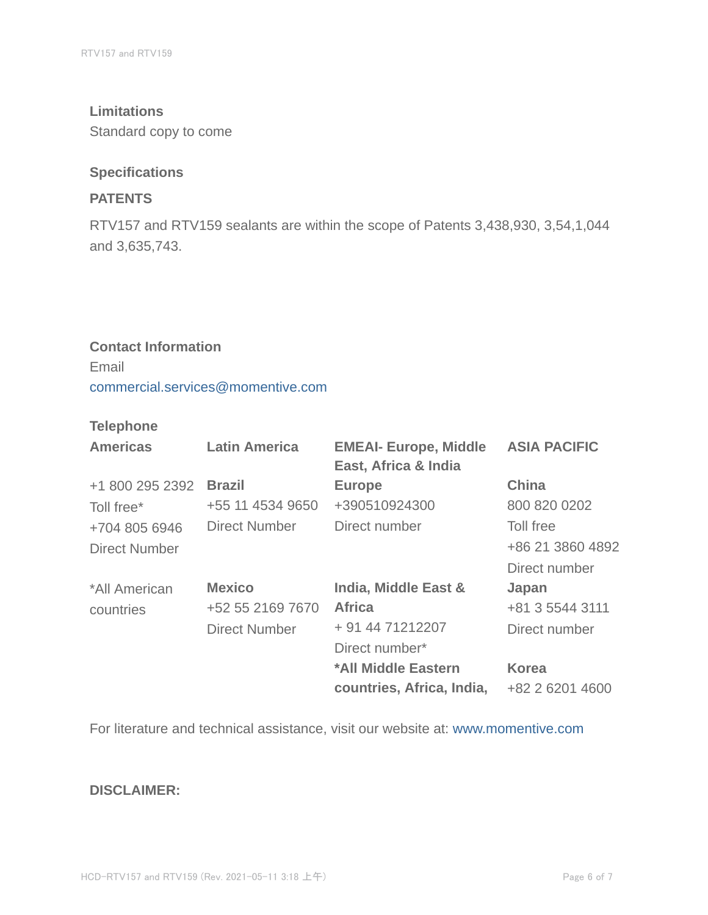#### **Limitations**

Standard copy to come

#### **Specifications**

## **PATENTS**

RTV157 and RTV159 sealants are within the scope of Patents 3,438,930, 3,54,1,044 and 3,635,743.

# **Contact Information** Email commercial.services@momentive.com

#### **Telephone**

| <b>Americas</b>      | <b>Latin America</b> | <b>EMEAI- Europe, Middle</b><br>East, Africa & India | <b>ASIA PACIFIC</b> |
|----------------------|----------------------|------------------------------------------------------|---------------------|
| +1 800 295 2392      | <b>Brazil</b>        | <b>Europe</b>                                        | <b>China</b>        |
| Toll free*           | +55 11 4534 9650     | +390510924300                                        | 800 820 0202        |
| +704 805 6946        | <b>Direct Number</b> | Direct number                                        | Toll free           |
| <b>Direct Number</b> |                      |                                                      | +86 21 3860 4892    |
|                      |                      |                                                      | Direct number       |
| *All American        | <b>Mexico</b>        | India, Middle East &                                 | Japan               |
| countries            | +52 55 2169 7670     | <b>Africa</b>                                        | +81 3 5544 3111     |
|                      | <b>Direct Number</b> | + 91 44 71212207                                     | Direct number       |
|                      |                      | Direct number*                                       |                     |
|                      |                      | *All Middle Eastern                                  | <b>Korea</b>        |
|                      |                      | countries, Africa, India,                            | +82 2 6201 4600     |

For literature and technical assistance, visit our website at: www.momentive.com

#### **DISCLAIMER:**